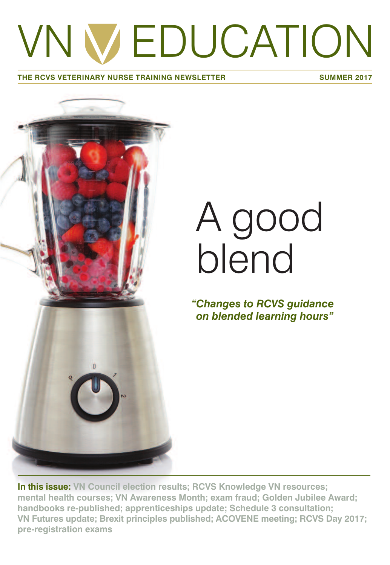# VN W EDUCATION

#### **THE RCVS VETERINARY NURSE TRAINING NEWSLETTER SUMMER 2017**



# A good blend

*"Changes to RCVS guidance on blended learning hours"*

**In this issue: VN Council election results; RCVS Knowledge VN resources; mental health courses; VN Awareness Month; exam fraud; Golden Jubilee Award; handbooks re-published; apprenticeships update; Schedule 3 consultation; VN Futures update; Brexit principles published; ACOVENE meeting; RCVS Day 2017; pre-registration exams**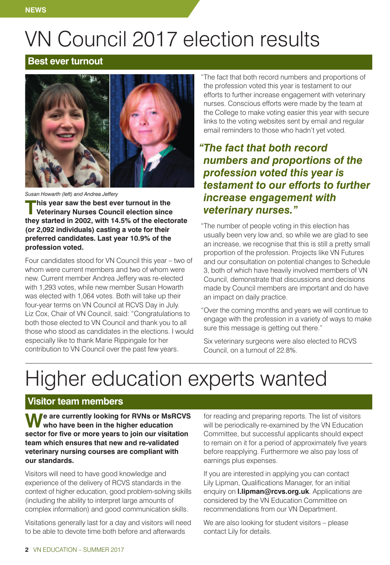# VN Council 2017 election results

#### **Best ever turnout**



*Susan Howarth (left) and Andrea Jeffery*

**This year saw the best ever turnout in the**<br> **Veterinary Nurses Council election since**<br> **Veterinary nurses. they started in 2002, with 14.5% of the electorate (or 2,092 individuals) casting a vote for their preferred candidates. Last year 10.9% of the profession voted.**

Four candidates stood for VN Council this year – two of whom were current members and two of whom were new. Current member Andrea Jeffery was re-elected with 1,293 votes, while new member Susan Howarth was elected with 1,064 votes. Both will take up their four-year terms on VN Council at RCVS Day in July. Liz Cox, Chair of VN Council, said: "Congratulations to both those elected to VN Council and thank you to all those who stood as candidates in the elections. I would especially like to thank Marie Rippingale for her contribution to VN Council over the past few years.

"The fact that both record numbers and proportions of the profession voted this year is testament to our efforts to further increase engagement with veterinary nurses. Conscious efforts were made by the team at the College to make voting easier this year with secure links to the voting websites sent by email and regular email reminders to those who hadn't yet voted.

### *"The fact that both record numbers and proportions of the profession voted this year is testament to our efforts to further increase engagement with*

"The number of people voting in this election has usually been very low and, so while we are glad to see an increase, we recognise that this is still a pretty small proportion of the profession. Projects like VN Futures and our consultation on potential changes to Schedule 3, both of which have heavily involved members of VN Council, demonstrate that discussions and decisions made by Council members are important and do have an impact on daily practice.

"Over the coming months and years we will continue to engage with the profession in a variety of ways to make sure this message is getting out there."

Six veterinary surgeons were also elected to RCVS Council, on a turnout of 22.8%.

## Higher education experts wanted

#### **Visitor team members**

**We are currently looking for RVNs or MsRCVS who have been in the higher education sector for five or more years to join our visitation team which ensures that new and re-validated veterinary nursing courses are compliant with our standards.**

Visitors will need to have good knowledge and experience of the delivery of RCVS standards in the context of higher education, good problem-solving skills (including the ability to interpret large amounts of complex information) and good communication skills.

Visitations generally last for a day and visitors will need to be able to devote time both before and afterwards

for reading and preparing reports. The list of visitors will be periodically re-examined by the VN Education Committee, but successful applicants should expect to remain on it for a period of approximately five years before reapplying. Furthermore we also pay loss of earnings plus expenses.

If you are interested in applying you can contact Lily Lipman, Qualifications Manager, for an initial enquiry on **l.lipman@rcvs.org.uk**. Applications are considered by the VN Education Committee on recommendations from our VN Department.

We are also looking for student visitors – please contact Lily for details.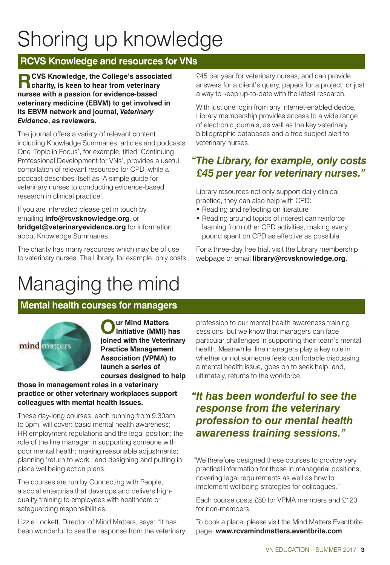# Shoring up knowledge

#### **RCVS Knowledge and resources for VNs**

**RCVS Knowledge, the College's associated charity, is keen to hear from veterinary nurses with a passion for evidence-based veterinary medicine (EBVM) to get involved in its EBVM network and journal,** *Veterinary Evidence***, as reviewers.**

The journal offers a variety of relevant content including Knowledge Summaries, articles and podcasts. One 'Topic in Focus', for example, titled 'Continuing Professional Development for VNs', provides a useful compilation of relevant resources for CPD, while a podcast describes itself as 'A simple guide for veterinary nurses to conducting evidence-based research in clinical practice'.

If you are interested please get in touch by emailing **info@rcvsknowledge.org**, or **bridget@veterinaryevidence.org** for information about Knowledge Summaries.

The charity has many resources which may be of use to veterinary nurses. The Library, for example, only costs £45 per year for veterinary nurses, and can provide answers for a client's query, papers for a project, or just a way to keep up-to-date with the latest research.

With just one login from any internet-enabled device, Library membership provides access to a wide range of electronic journals, as well as the key veterinary bibliographic databases and a free subject alert to veterinary nurses.

#### *"The Library, for example, only costs £45 per year for veterinary nurses."*

Library resources not only support daily clinical practice, they can also help with CPD:

- Reading and reflecting on literature
- Reading around topics of interest can reinforce learning from other CPD activities, making every pound spent on CPD as effective as possible.

For a three-day free trial, visit the Library membership webpage or email **library@rcvsknowledge.org**.

### Managing the mind

#### **Mental health courses for managers**



**Our Mind Matters Initiative (MMI) has joined with the Veterinary Practice Management Association (VPMA) to launch a series of courses designed to help**

#### **those in management roles in a veterinary practice or other veterinary workplaces support colleagues with mental health issues.**

These day-long courses, each running from 9.30am to 5pm, will cover: basic mental health awareness; HR employment regulations and the legal position; the role of the line manager in supporting someone with poor mental health; making reasonable adjustments; planning 'return to work'; and designing and putting in place wellbeing action plans.

The courses are run by Connecting with People, a social enterprise that develops and delivers highquality training to employees with healthcare or safeguarding responsibilities.

Lizzie Lockett, Director of Mind Matters, says: "It has been wonderful to see the response from the veterinary

profession to our mental health awareness training sessions, but we know that managers can face particular challenges in supporting their team's mental health. Meanwhile, line managers play a key role in whether or not someone feels comfortable discussing a mental health issue, goes on to seek help, and, ultimately, returns to the workforce.

#### *"It has been wonderful to see the response from the veterinary profession to our mental health awareness training sessions."*

"We therefore designed these courses to provide very practical information for those in managerial positions, covering legal requirements as well as how to implement wellbeing strategies for colleagues."

Each course costs £80 for VPMA members and £120 for non-members.

To book a place, please visit the Mind Matters Eventbrite page: **www.rcvsmindmatters.eventbrite.com**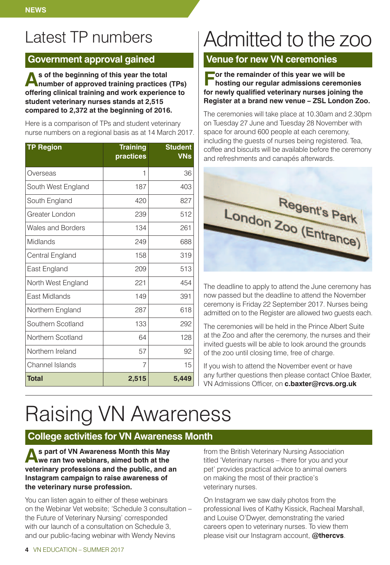### Latest TP numbers

#### **Government approval gained**

**As of the beginning of this year the total number of approved training practices (TPs) offering clinical training and work experience to student veterinary nurses stands at 2,515 compared to 2,372 at the beginning of 2016.**

Here is a comparison of TPs and student veterinary nurse numbers on a regional basis as at 14 March 2017.

| <b>TP Region</b>   | <b>Training</b><br>practices | <b>Student</b><br><b>VNs</b> |
|--------------------|------------------------------|------------------------------|
| Overseas           | 1                            | 36                           |
| South West England | 187                          | 403                          |
| South England      | 420                          | 827                          |
| Greater London     | 239                          | 512                          |
| Wales and Borders  | 134                          | 261                          |
| Midlands           | 249                          | 688                          |
| Central England    | 158                          | 319                          |
| East England       | 209                          | 513                          |
| North West England | 221                          | 454                          |
| Fast Midlands      | 149                          | 391                          |
| Northern England   | 287                          | 618                          |
| Southern Scotland  | 133                          | 292                          |
| Northern Scotland  | 64                           | 128                          |
| Northern Ireland   | 57                           | 92                           |
| Channel Islands    | $\overline{7}$               | 15                           |
| <b>Total</b>       | 2,515                        | 5,449                        |

## Admitted to the zoo

#### **Venue for new VN ceremonies**

**For the remainder of this year we will be hosting our regular admissions ceremonies for newly qualified veterinary nurses joining the Register at a brand new venue – ZSL London Zoo.**

The ceremonies will take place at 10.30am and 2.30pm on Tuesday 27 June and Tuesday 28 November with space for around 600 people at each ceremony, including the guests of nurses being registered. Tea, coffee and biscuits will be available before the ceremony and refreshments and canapés afterwards.



The deadline to apply to attend the June ceremony has now passed but the deadline to attend the November ceremony is Friday 22 September 2017. Nurses being admitted on to the Register are allowed two guests each.

The ceremonies will be held in the Prince Albert Suite at the Zoo and after the ceremony, the nurses and their invited guests will be able to look around the grounds of the zoo until closing time, free of charge.

If you wish to attend the November event or have any further questions then please contact Chloe Baxter, VN Admissions Officer, on **c.baxter@rcvs.org.uk**

# Raising VN Awareness

#### **College activities for VN Awareness Month**

**As part of VN Awareness Month this May we ran two webinars, aimed both at the veterinary professions and the public, and an Instagram campaign to raise awareness of the veterinary nurse profession.**

You can listen again to either of these webinars on the Webinar Vet website; 'Schedule 3 consultation – the Future of Veterinary Nursing' corresponded with our launch of a consultation on Schedule 3, and our public-facing webinar with Wendy Nevins

from the British Veterinary Nursing Association titled 'Veterinary nurses – there for you and your pet' provides practical advice to animal owners on making the most of their practice's veterinary nurses.

On Instagram we saw daily photos from the professional lives of Kathy Kissick, Racheal Marshall, and Louise O'Dwyer, demonstrating the varied careers open to veterinary nurses. To view them please visit our Instagram account, **@thercvs**.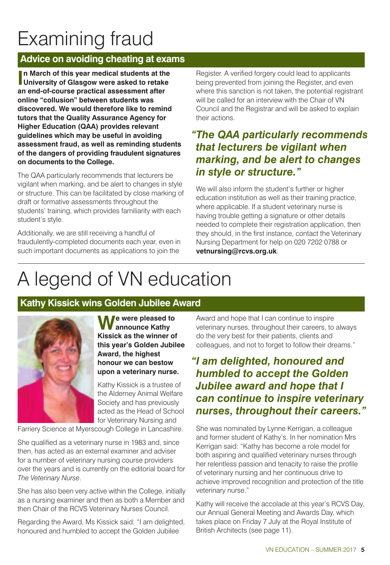### Examining fraud

#### **Advice on avoiding cheating at exams**

**I**n March of this year medical students at the University of Glasgow were asked to retak<br>an end-of-course practical assessment after **n March of this year medical students at the University of Glasgow were asked to retake online "collusion" between students was discovered. We would therefore like to remind tutors that the Quality Assurance Agency for Higher Education (QAA) provides relevant guidelines which may be useful in avoiding assessment fraud, as well as reminding students of the dangers of providing fraudulent signatures on documents to the College.**

The QAA particularly recommends that lecturers be vigilant when marking, and be alert to changes in style or structure. This can be facilitated by close marking of draft or formative assessments throughout the students' training, which provides familiarity with each student's style.

Additionally, we are still receiving a handful of fraudulently-completed documents each year, even in such important documents as applications to join the

Register. A verified forgery could lead to applicants being prevented from joining the Register, and even where this sanction is not taken, the potential registrant will be called for an interview with the Chair of VN Council and the Registrar and will be asked to explain their actions.

#### *"The QAA particularly recommends that lecturers be vigilant when marking, and be alert to changes in style or structure."*

We will also inform the student's further or higher education institution as well as their training practice, where applicable. If a student veterinary nurse is having trouble getting a signature or other details needed to complete their registration application, then they should, in the first instance, contact the Veterinary Nursing Department for help on 020 7202 0788 or **vetnursing@rcvs.org.uk**.

### A legend of VN education

#### **Kathy Kissick wins Golden Jubilee Award**



**We were pleased to announce Kathy Kissick as the winner of this year's Golden Jubilee Award, the highest honour we can bestow upon a veterinary nurse.**

Kathy Kissick is a trustee of the Alderney Animal Welfare Society and has previously acted as the Head of School for Veterinary Nursing and

Farriery Science at Myerscough College in Lancashire.

She qualified as a veterinary nurse in 1983 and, since then, has acted as an external examiner and adviser for a number of veterinary nursing course providers over the years and is currently on the editorial board for *The Veterinary Nurse*.

She has also been very active within the College, initially as a nursing examiner and then as both a Member and then Chair of the RCVS Veterinary Nurses Council.

Regarding the Award, Ms Kissick said: "I am delighted, honoured and humbled to accept the Golden Jubilee

Award and hope that I can continue to inspire veterinary nurses, throughout their careers, to always do the very best for their patients, clients and colleagues, and not to forget to follow their dreams."

#### *"I am delighted, honoured and humbled to accept the Golden Jubilee award and hope that I can continue to inspire veterinary nurses, throughout their careers."*

She was nominated by Lynne Kerrigan, a colleague and former student of Kathy's. In her nomination Mrs Kerrigan said: "Kathy has become a role model for both aspiring and qualified veterinary nurses through her relentless passion and tenacity to raise the profile of veterinary nursing and her continuous drive to achieve improved recognition and protection of the title veterinary nurse."

Kathy will receive the accolade at this year's RCVS Day, our Annual General Meeting and Awards Day, which takes place on Friday 7 July at the Royal Institute of British Architects (see page 11).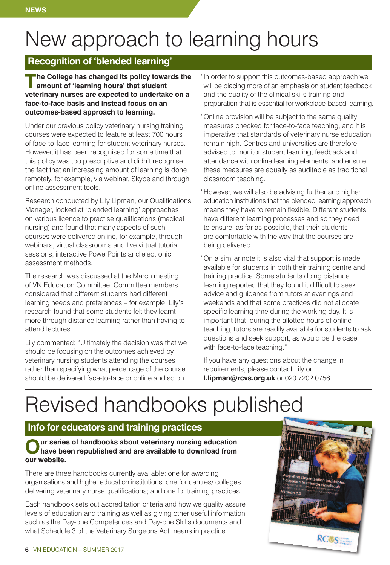# New approach to learning hours

#### **Recognition of 'blended learning'**

**The College has changed its policy towards the amount of 'learning hours' that student veterinary nurses are expected to undertake on a face-to-face basis and instead focus on an outcomes-based approach to learning.**

Under our previous policy veterinary nursing training courses were expected to feature at least 700 hours of face-to-face learning for student veterinary nurses. However, it has been recognised for some time that this policy was too prescriptive and didn't recognise the fact that an increasing amount of learning is done remotely, for example, via webinar, Skype and through online assessment tools.

Research conducted by Lily Lipman, our Qualifications Manager, looked at 'blended learning' approaches on various licence to practise qualifications (medical nursing) and found that many aspects of such courses were delivered online, for example, through webinars, virtual classrooms and live virtual tutorial sessions, interactive PowerPoints and electronic assessment methods.

The research was discussed at the March meeting of VN Education Committee. Committee members considered that different students had different learning needs and preferences – for example, Lily's research found that some students felt they learnt more through distance learning rather than having to attend lectures.

Lily commented: "Ultimately the decision was that we should be focusing on the outcomes achieved by veterinary nursing students attending the courses rather than specifying what percentage of the course should be delivered face-to-face or online and so on.

"In order to support this outcomes-based approach we will be placing more of an emphasis on student feedback and the quality of the clinical skills training and preparation that is essential for workplace-based learning.

"Online provision will be subject to the same quality measures checked for face-to-face teaching, and it is imperative that standards of veterinary nurse education remain high. Centres and universities are therefore advised to monitor student learning, feedback and attendance with online learning elements, and ensure these measures are equally as auditable as traditional classroom teaching.

"However, we will also be advising further and higher education institutions that the blended learning approach means they have to remain flexible. Different students have different learning processes and so they need to ensure, as far as possible, that their students are comfortable with the way that the courses are being delivered.

"On a similar note it is also vital that support is made available for students in both their training centre and training practice. Some students doing distance learning reported that they found it difficult to seek advice and guidance from tutors at evenings and weekends and that some practices did not allocate specific learning time during the working day. It is important that, during the allotted hours of online teaching, tutors are readily available for students to ask questions and seek support, as would be the case with face-to-face teaching."

If you have any questions about the change in requirements, please contact Lily on **l.lipman@rcvs.org.uk** or 020 7202 0756.

# Revised handbooks published

#### **Info for educators and training practices**

#### Our series of handbooks about veterinary nursing education<br>have been republished and are available to download from **our website.**

There are three handbooks currently available: one for awarding organisations and higher education institutions; one for centres/ colleges delivering veterinary nurse qualifications; and one for training practices.

Each handbook sets out accreditation criteria and how we quality assure levels of education and training as well as giving other useful information such as the Day-one Competences and Day-one Skills documents and what Schedule 3 of the Veterinary Surgeons Act means in practice.

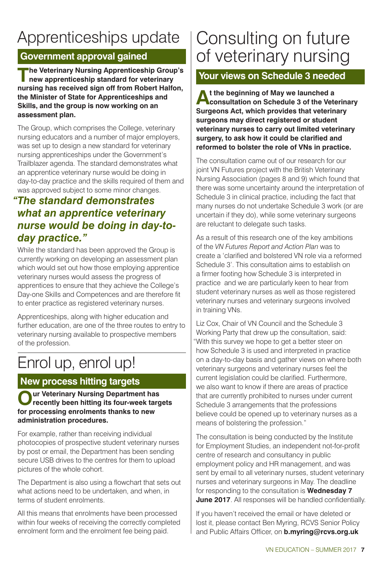### Apprenticeships update

#### **Government approval gained**

**The Veterinary Nursing Apprenticeship Group's new apprenticeship standard for veterinary nursing has received sign off from Robert Halfon, the Minister of State for Apprenticeships and Skills, and the group is now working on an assessment plan.**

The Group, which comprises the College, veterinary nursing educators and a number of major employers, was set up to design a new standard for veterinary nursing apprenticeships under the Government's Trailblazer agenda. The standard demonstrates what an apprentice veterinary nurse would be doing in day-to-day practice and the skills required of them and was approved subject to some minor changes.

#### *"The standard demonstrates what an apprentice veterinary nurse would be doing in day-today practice."*

While the standard has been approved the Group is currently working on developing an assessment plan which would set out how those employing apprentice veterinary nurses would assess the progress of apprentices to ensure that they achieve the College's Day-one Skills and Competences and are therefore fit to enter practice as registered veterinary nurses.

Apprenticeships, along with higher education and further education, are one of the three routes to entry to veterinary nursing available to prospective members of the profession.

### Enrol up, enrol up!

#### **New process hitting targets**

**Our Veterinary Nursing Department has recently been hitting its four-week targets for processing enrolments thanks to new administration procedures.**

For example, rather than receiving individual photocopies of prospective student veterinary nurses by post or email, the Department has been sending secure USB drives to the centres for them to upload pictures of the whole cohort.

The Department is also using a flowchart that sets out what actions need to be undertaken, and when, in terms of student enrolments.

All this means that enrolments have been processed within four weeks of receiving the correctly completed enrolment form and the enrolment fee being paid.

### Consulting on future of veterinary nursing

#### **Your views on Schedule 3 needed**

**At the beginning of May we launched <sup>a</sup> consultation on Schedule 3 of the Veterinary Surgeons Act, which provides that veterinary surgeons may direct registered or student veterinary nurses to carry out limited veterinary surgery, to ask how it could be clarified and reformed to bolster the role of VNs in practice.**

The consultation came out of our research for our joint VN Futures project with the British Veterinary Nursing Association (pages 8 and 9) which found that there was some uncertainty around the interpretation of Schedule 3 in clinical practice, including the fact that many nurses do not undertake Schedule 3 work (or are uncertain if they do), while some veterinary surgeons are reluctant to delegate such tasks.

As a result of this research one of the key ambitions of the *VN Futures Report and Action Plan* was to create a 'clarified and bolstered VN role via a reformed Schedule 3'. This consultation aims to establish on a firmer footing how Schedule 3 is interpreted in practice and we are particularly keen to hear from student veterinary nurses as well as those registered veterinary nurses and veterinary surgeons involved in training VNs.

Liz Cox, Chair of VN Council and the Schedule 3 Working Party that drew up the consultation, said: "With this survey we hope to get a better steer on how Schedule 3 is used and interpreted in practice on a day-to-day basis and gather views on where both veterinary surgeons and veterinary nurses feel the current legislation could be clarified. Furthermore, we also want to know if there are areas of practice that are currently prohibited to nurses under current Schedule 3 arrangements that the professions believe could be opened up to veterinary nurses as a means of bolstering the profession."

The consultation is being conducted by the Institute for Employment Studies, an independent not-for-profit centre of research and consultancy in public employment policy and HR management, and was sent by email to all veterinary nurses, student veterinary nurses and veterinary surgeons in May. The deadline for responding to the consultation is **Wednesday 7 June 2017**. All responses will be handled confidentially.

If you haven't received the email or have deleted or lost it, please contact Ben Myring, RCVS Senior Policy and Public Affairs Officer, on **b.myring@rcvs.org.uk**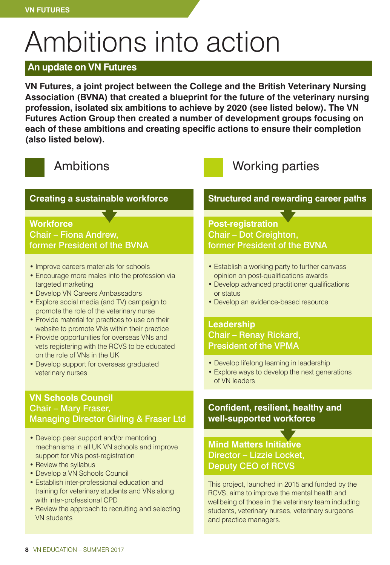# Ambitions into action

#### **An update on VN Futures**

**VN Futures, a joint project between the College and the British Veterinary Nursing Association (BVNA) that created a blueprint for the future of the veterinary nursing profession, isolated six ambitions to achieve by 2020 (see listed below). The VN Futures Action Group then created a number of development groups focusing on each of these ambitions and creating specific actions to ensure their completion (also listed below).**



#### **Creating a sustainable workforce**

#### **Workforce** Chair – Fiona Andrew, former President of the BVNA

- Improve careers materials for schools
- Encourage more males into the profession via targeted marketing
- Develop VN Careers Ambassadors
- Explore social media (and TV) campaign to promote the role of the veterinary nurse
- Provide material for practices to use on their website to promote VNs within their practice
- Provide opportunities for overseas VNs and vets registering with the RCVS to be educated on the role of VNs in the UK
- Develop support for overseas graduated veterinary nurses

#### **VN Schools Council** Chair – Mary Fraser, Managing Director Girling & Fraser Ltd

- Develop peer support and/or mentoring mechanisms in all UK VN schools and improve support for VNs post-registration
- Review the syllabus
- Develop a VN Schools Council
- Establish inter-professional education and training for veterinary students and VNs along with inter-professional CPD
- Review the approach to recruiting and selecting VN students

### Ambitions Manuel Morking parties

#### **Structured and rewarding career paths**

#### **Post-registration** Chair – Dot Creighton, former President of the BVNA

- Establish a working party to further canvass opinion on post-qualifications awards
- Develop advanced practitioner qualifications or status
- Develop an evidence-based resource

#### **Leadership** Chair – Renay Rickard, President of the VPMA

- Develop lifelong learning in leadership
- Explore ways to develop the next generations of VN leaders

#### **Confident, resilient, healthy and well-supported workforce**

#### **Mind Matters Initiative** Director – Lizzie Locket, Deputy CEO of RCVS

This project, launched in 2015 and funded by the RCVS, aims to improve the mental health and wellbeing of those in the veterinary team including students, veterinary nurses, veterinary surgeons and practice managers.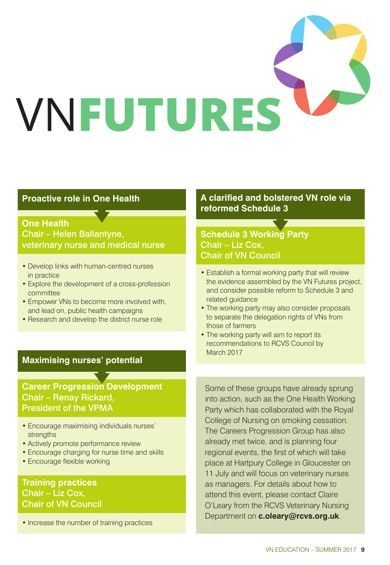

#### **Proactive role in One Health**

#### **One Health** Chair – Helen Ballantyne, veterinary nurse and medical nurse

- Develop links with human-centred nurses in practice
- Explore the development of a cross-profession committee
- Empower VNs to become more involved with, and lead on, public health campaigns
- Research and develop the district nurse role

#### **Maximising nurses' potential**

#### **Career Progression Development** Chair – Renay Rickard, President of the VPMA

- Encourage maximising individuals nurses' strengths
- Actively promote performance review
- Encourage charging for nurse time and skills
- Encourage flexible working

#### **Training practices** Chair – Liz Cox, Chair of VN Council

• Increase the number of training practices

#### **A clarified and bolstered VN role via reformed Schedule 3**

#### **Schedule 3 Working Party** Chair – Liz Cox, Chair of VN Council

- Establish a formal working party that will review the evidence assembled by the VN Futures project, and consider possible reform to Schedule 3 and related guidance
- The working party may also consider proposals to separate the delegation rights of VNs from those of farmers
- The working party will aim to report its recommendations to RCVS Council by March 2017

Some of these groups have already sprung into action, such as the One Health Working Party which has collaborated with the Royal College of Nursing on smoking cessation. The Careers Progression Group has also already met twice, and is planning four regional events, the first of which will take place at Hartpury College in Gloucester on 11 July and will focus on veterinary nurses as managers. For details about how to attend this event, please contact Claire O'Leary from the RCVS Veterinary Nursing Department on **c.oleary@rcvs.org.uk**.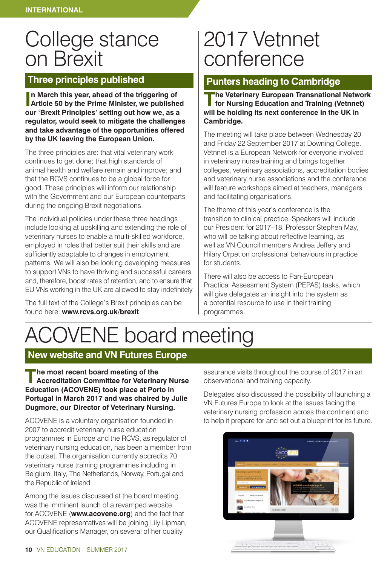### College stance on Brexit

#### **Three principles published**

**I Article 50 by the Prime Minister, we published n March this year, ahead of the triggering of our 'Brexit Principles' setting out how we, as a regulator, would seek to mitigate the challenges and take advantage of the opportunities offered by the UK leaving the European Union.**

The three principles are: that vital veterinary work continues to get done; that high standards of animal health and welfare remain and improve; and that the RCVS continues to be a global force for good. These principles will inform our relationship with the Government and our European counterparts during the ongoing Brexit negotiations.

The individual policies under these three headings include looking at upskilling and extending the role of veterinary nurses to enable a multi-skilled workforce, employed in roles that better suit their skills and are sufficiently adaptable to changes in employment patterns. We will also be looking developing measures to support VNs to have thriving and successful careers and, therefore, boost rates of retention, and to ensure that EU VNs working in the UK are allowed to stay indefinitely.

The full text of the College's Brexit principles can be found here: **www.rcvs.org.uk/brexit**

### 2017 Vetnnet conference

#### **Punters heading to Cambridge**

**The Veterinary European Transnational Network for Nursing Education and Training (Vetnnet) will be holding its next conference in the UK in Cambridge.**

The meeting will take place between Wednesday 20 and Friday 22 September 2017 at Downing College. Vetnnet is a European Network for everyone involved in veterinary nurse training and brings together colleges, veterinary associations, accreditation bodies and veterinary nurse associations and the conference will feature workshops aimed at teachers, managers and facilitating organisations.

The theme of this year's conference is the transition to clinical practice. Speakers will include our President for 2017–18, Professor Stephen May, who will be talking about reflective learning, as well as VN Council members Andrea Jeffery and Hilary Orpet on professional behaviours in practice for students.

There will also be access to Pan-European Practical Assessment System (PEPAS) tasks, which will give delegates an insight into the system as a potential resource to use in their training programmes.

# ACOVENE board meeting

#### **New website and VN Futures Europe**

**The most recent board meeting of the Accreditation Committee for Veterinary Nurse Education (ACOVENE) took place at Porto in Portugal in March 2017 and was chaired by Julie Dugmore, our Director of Veterinary Nursing.**

ACOVENE is a voluntary organisation founded in 2007 to accredit veterinary nurse education programmes in Europe and the RCVS, as regulator of veterinary nursing education, has been a member from the outset. The organisation currently accredits 70 veterinary nurse training programmes including in Belgium, Italy, The Netherlands, Norway, Portugal and the Republic of Ireland.

Among the issues discussed at the board meeting was the imminent launch of a revamped website for ACOVENE (**www.acovene.org**) and the fact that ACOVENE representatives will be joining Lily Lipman, our Qualifications Manager, on several of her quality

assurance visits throughout the course of 2017 in an observational and training capacity.

Delegates also discussed the possibility of launching a VN Futures Europe to look at the issues facing the veterinary nursing profession across the continent and to help it prepare for and set out a blueprint for its future.

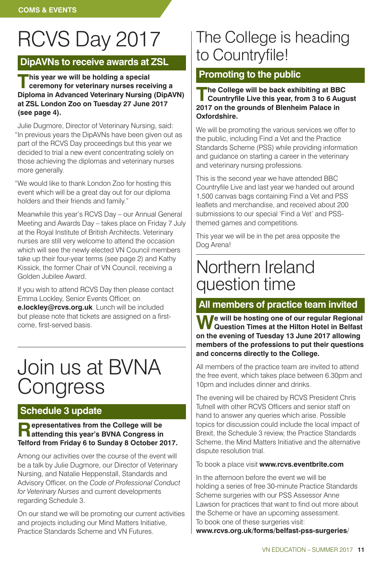# RCVS Day 2017

#### **DipAVNs to receive awards at ZSL**

**This** year we will be holding a special<br>
ceremony for veterinary nurses receiving a<br>
ceremony<br>
consumers **Diploma in Advanced Veterinary Nursing (DipAVN) at ZSL London Zoo on Tuesday 27 June 2017 (see page 4).**

Julie Dugmore, Director of Veterinary Nursing, said: "In previous years the DipAVNs have been given out as part of the RCVS Day proceedings but this year we decided to trial a new event concentrating solely on those achieving the diplomas and veterinary nurses more generally.

"We would like to thank London Zoo for hosting this event which will be a great day out for our diploma holders and their friends and family."

Meanwhile this year's RCVS Day – our Annual General Meeting and Awards Day – takes place on Friday 7 July at the Royal Institute of British Architects. Veterinary nurses are still very welcome to attend the occasion which will see the newly elected VN Council members take up their four-year terms (see page 2) and Kathy Kissick, the former Chair of VN Council, receiving a Golden Jubilee Award.

If you wish to attend RCVS Day then please contact Emma Lockley, Senior Events Officer, on **e.lockley@rcvs.org.uk**. Lunch will be included but please note that tickets are assigned on a firstcome, first-served basis.

### Join us at BVNA **Congress**

#### **Schedule 3 update**

#### **Representatives from the College will be attending this year's BVNA Congress in Telford from Friday 6 to Sunday 8 October 2017.**

Among our activities over the course of the event will be a talk by Julie Dugmore, our Director of Veterinary Nursing, and Natalie Heppenstall, Standards and Advisory Officer, on the *Code of Professional Conduct for Veterinary Nurses* and current developments regarding Schedule 3.

On our stand we will be promoting our current activities and projects including our Mind Matters Initiative, Practice Standards Scheme and VN Futures.

### The College is heading to Countryfile!

#### **Promoting to the public**

**The College will be back exhibiting at BBC Countryfile Live this year, from 3 to 6 August 2017 on the grounds of Blenheim Palace in Oxfordshire.**

We will be promoting the various services we offer to the public, including Find a Vet and the Practice Standards Scheme (PSS) while providing information and guidance on starting a career in the veterinary and veterinary nursing professions.

This is the second year we have attended BBC Countryfile Live and last year we handed out around 1,500 canvas bags containing Find a Vet and PSS leaflets and merchandise, and received about 200 submissions to our special 'Find a Vet' and PSSthemed games and competitions.

This year we will be in the pet area opposite the Dog Arena!

### Northern Ireland question time

#### **All members of practice team invited**

**We will be hosting one of our regular Regional Question Times at the Hilton Hotel in Belfast on the evening of Tuesday 13 June 2017 allowing members of the professions to put their questions and concerns directly to the College.**

All members of the practice team are invited to attend the free event, which takes place between 6.30pm and 10pm and includes dinner and drinks.

The evening will be chaired by RCVS President Chris Tufnell with other RCVS Officers and senior staff on hand to answer any queries which arise. Possible topics for discussion could include the local impact of Brexit, the Schedule 3 review, the Practice Standards Scheme, the Mind Matters Initiative and the alternative dispute resolution trial.

#### To book a place visit **www.rcvs.eventbrite.com**

In the afternoon before the event we will be holding a series of free 30-minute Practice Standards Scheme surgeries with our PSS Assessor Anne Lawson for practices that want to find out more about the Scheme or have an upcoming assessment. To book one of these surgeries visit: **www.rcvs.org.uk/forms/belfast-pss-surgeries**/